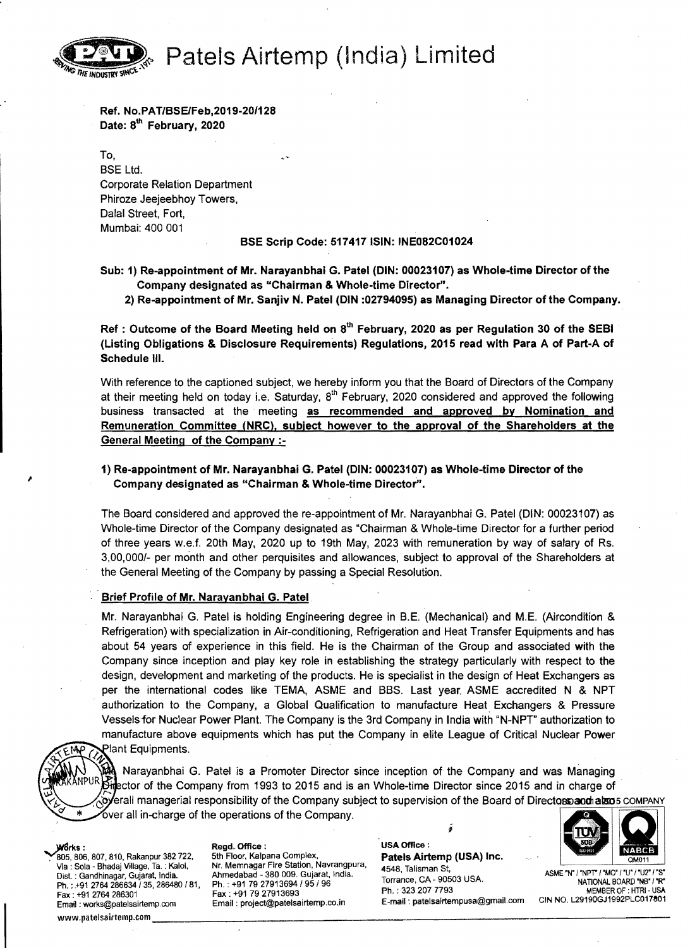Patels Airtemp (India) Limited



Ref. No.PAT/BSE/Feb,2019-20/128 Date: 8<sup>th</sup> February, 2020

To, BSE Ltd. Corporate Relation Department Phiroze Jeejeebhoy Towers, Dalal Street, Fort, Mumbai: 400 001

BSE Scrip Code: 517417 ISIN: INE082C01024

- Sub: 1) Re-appointment of Mr. Narayanbhai G. Patel (DIN: 00023107) as Whole-time Director of the Company designated as "Chairman & Whole-time Director".
	- 2) Re-appointment of Mr. Sanjiv N. Patel (DIN :02794095) as Managing Director of the Company.

Ref: Outcome of the Board Meeting held on  $8<sup>th</sup>$  February, 2020 as per Regulation 30 of the SEBI (Listing Obligations & Disclosure Requirements) Regulations. 2015 read with Para A of Part-A of Schedule III.

With reference to the captioned subject, we hereby inform you that the Board of Directors of the Company at their meeting held on today i.e. Saturday, 8*th* February, 2020 considered and approved the following business transacted at the meeting as recommended and approved by Nomination and Remuneration Committee (NRC), subject however to the approval of the Shareholders at the General Meeting of the Company :

1) Re-appointment of Mr. Narayanbhai G. Patel (DIN: 00023107) as Whole-time Director of the Company designated as "Chairman & Whole-time Director".

The Board considered and approved the re-appointment of Mr. Narayanbhai G. Patel (DIN: 00023107) as Whole-time Director of the Company designated as "Chairman & Whole-time Director for a further period of three years w.e.f. 20th May, 2020 up to 19th May, 2023 with remuneration by way of salary of Rs. 3,00,000/- per month and other perquisites and allowances. subject to approval of the Shareholders at the General Meeting of the Company by passing a Special Resolution.

## Brief Profile of Mr. Narayanbhai G. Patel

Mr. Narayanbhai G. Patel is holding Engineering degree in B.E. (Mechanical) and M.E. (Aircondition & Refrigeration) with specialization in Air-conditioning, Refrigeration and Heat Transfer Equipments and has about 54 years of experience in this field. He is the Chairman of the Group and associated with the Company since inception and play key role in establishing the strategy particularly with respect to the design. development and marketing of the products. He is specialist in the design of Heat Exchangers as per the international codes like TEMA. ASME and BBS. Last year. ASME accredited N & NPT authorization to the Company. a Global Qualification to manufacture Heat. Exchangers & Pressure Vesselsfor Nuclear Power Plant. The Company is the 3rd Company in India with "N-NPT" authorization to manufacture above equipments which has put the Company in elite League of Critical Nuclear Power<br>EMP Relant Equipments.

~ . Narayanbhai G. Patel is a Promoter Director since inception of the Company and was Managing **K THE FOURTH REF RET TO THE READER IN 1993 to 2015 and is an Whole-time Director since 2015 and in charge of** overall managerial responsibility of the Company subject to supervision of the Board of Directoss and also 5 COMPANY Cover all in-charge of the operations of the Company.

Ph.: 323 207 7793 MEMBER OF: HTRI-U<br>
Fax: +91 79 27913693 Fax: +91 79 27913693<br>
Email: project@patelsairtemp.co.in E-mail: patelsairtempusa@gmail.com CIN NO. L29190GJ1992PLC0176<br>
www.patelsairtemp.com \_\_\_\_\_\_\_\_\_\_\_\_\_\_\_\_\_\_\_\_\_

505, 806, 807, 810, Rakanpur 382 722, 5th Floor, Kalpana Complex, Patels Airtemp (USA) Inc.<br>Via : Sola - Bhadaj Village, Ta. : Kalol, Nr. Memnagar Fire Station, Navrangp Via : Sola - Bhadaj Village, Ta. : Kalol, Nr. Memnagar Fire Station, Navrangpura, مارسة المسلم المسلم المسلم ا<br>Dist. : Gandhinagar, Gujarat, India. Ahmedabad - 380 009. Gujarat, India. 11448, Talisman St, A Dist. ASME 'N' !'NPT' ! 'MO' !'U' !'U2' !'S' :Gandhinagar, Gujarat, India. Ahmedabad - 380 009. Gujarat, India. Torrance, CA \_90503 USA. NATIONAL BOARD "N8'/'R" Ph +91 2764 286634 135 286480181 Ph. : +91 79 27913694 195/96 .;, " Ph. ; 3232077793 MEMBER OF : HTRI USA Fax; +912764 286301 Fax: +91 7927913693 Fax : +91 279 1364 286301 Fax : +91 79 27913693<br>Email : works@patelsairtemp.com Email : project@patelsairtemp.co.in E-mail : patelsairtempusa@gmail.com CIN NO. L29190GJ1992PLC017801

warks : Regd. Office : No. 2007 (USA Office : 1998) (USA Office : 1999) (USA Office : 1999) (USA Office : 1999) (USA Office : 1999) (USA Office : 1999) (USA Office : 1999) (USA Office : 1999) (USA Office : 1999) (USA Offic